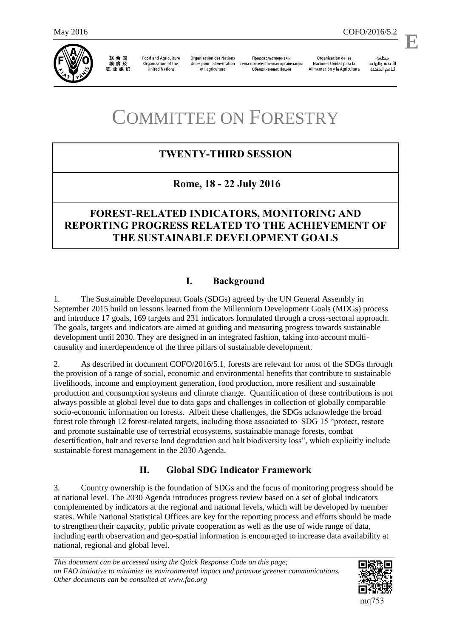

联合国<br>粮食及 农业组织

**Food and Agriculture** Organization of the **United Nations** 

**Organisation des Nations** Unies pour l'alimentation et l'agriculture

Продовольственная и сельскохозяйственная организация Объединенных Наций

Organización de las Naciones Unidas para la Alimentación y la Agricultura

منظمة الأغذية والزراعة للأمم المتحدة

l,

# COMMITTEE ON FORESTRY

# **TWENTY-THIRD SESSION**

# **Rome, 18 - 22 July 2016**

# **FOREST-RELATED INDICATORS, MONITORING AND REPORTING PROGRESS RELATED TO THE ACHIEVEMENT OF THE SUSTAINABLE DEVELOPMENT GOALS**

## **I. Background**

1. The Sustainable Development Goals (SDGs) agreed by the UN General Assembly in September 2015 build on lessons learned from the Millennium Development Goals (MDGs) process and introduce 17 goals, 169 targets and 231 indicators formulated through a cross-sectoral approach. The goals, targets and indicators are aimed at guiding and measuring progress towards sustainable development until 2030. They are designed in an integrated fashion, taking into account multicausality and interdependence of the three pillars of sustainable development.

2. As described in document COFO/2016/5.1, forests are relevant for most of the SDGs through the provision of a range of social, economic and environmental benefits that contribute to sustainable livelihoods, income and employment generation, food production, more resilient and sustainable production and consumption systems and climate change. Quantification of these contributions is not always possible at global level due to data gaps and challenges in collection of globally comparable socio-economic information on forests. Albeit these challenges, the SDGs acknowledge the broad forest role through 12 forest-related targets, including those associated to SDG 15 "protect, restore and promote sustainable use of terrestrial ecosystems, sustainable manage forests, combat desertification, halt and reverse land degradation and halt biodiversity loss", which explicitly include sustainable forest management in the 2030 Agenda.

## **II. Global SDG Indicator Framework**

3. Country ownership is the foundation of SDGs and the focus of monitoring progress should be at national level. The 2030 Agenda introduces progress review based on a set of global indicators complemented by indicators at the regional and national levels, which will be developed by member states. While National Statistical Offices are key for the reporting process and efforts should be made to strengthen their capacity, public private cooperation as well as the use of wide range of data, including earth observation and geo-spatial information is encouraged to increase data availability at national, regional and global level.

*This document can be accessed using the Quick Response Code on this page; an FAO initiative to minimize its environmental impact and promote greener communications. Other documents can be consulted at www.fao.org* 



**E**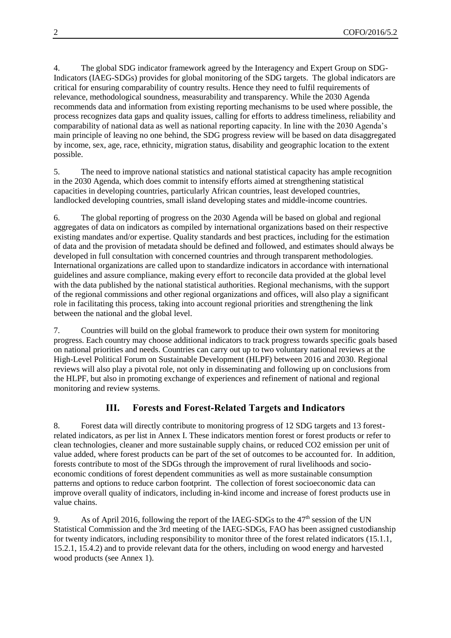4. The global SDG indicator framework agreed by the Interagency and Expert Group on SDG-Indicators (IAEG-SDGs) provides for global monitoring of the SDG targets. The global indicators are critical for ensuring comparability of country results. Hence they need to fulfil requirements of relevance, methodological soundness, measurability and transparency. While the 2030 Agenda recommends data and information from existing reporting mechanisms to be used where possible, the process recognizes data gaps and quality issues, calling for efforts to address timeliness, reliability and comparability of national data as well as national reporting capacity. In line with the 2030 Agenda's main principle of leaving no one behind, the SDG progress review will be based on data disaggregated by income, sex, age, race, ethnicity, migration status, disability and geographic location to the extent possible.

5. The need to improve national statistics and national statistical capacity has ample recognition in the 2030 Agenda, which does commit to intensify efforts aimed at strengthening statistical capacities in developing countries, particularly African countries, least developed countries, landlocked developing countries, small island developing states and middle-income countries.

6. The global reporting of progress on the 2030 Agenda will be based on global and regional aggregates of data on indicators as compiled by international organizations based on their respective existing mandates and/or expertise. Quality standards and best practices, including for the estimation of data and the provision of metadata should be defined and followed, and estimates should always be developed in full consultation with concerned countries and through transparent methodologies. International organizations are called upon to standardize indicators in accordance with international guidelines and assure compliance, making every effort to reconcile data provided at the global level with the data published by the national statistical authorities. Regional mechanisms, with the support of the regional commissions and other regional organizations and offices, will also play a significant role in facilitating this process, taking into account regional priorities and strengthening the link between the national and the global level.

7. Countries will build on the global framework to produce their own system for monitoring progress. Each country may choose additional indicators to track progress towards specific goals based on national priorities and needs. Countries can carry out up to two voluntary national reviews at the High-Level Political Forum on Sustainable Development (HLPF) between 2016 and 2030. Regional reviews will also play a pivotal role, not only in disseminating and following up on conclusions from the HLPF, but also in promoting exchange of experiences and refinement of national and regional monitoring and review systems.

#### **III. Forests and Forest-Related Targets and Indicators**

8. Forest data will directly contribute to monitoring progress of 12 SDG targets and 13 forestrelated indicators, as per list in Annex I. These indicators mention forest or forest products or refer to clean technologies, cleaner and more sustainable supply chains, or reduced CO2 emission per unit of value added, where forest products can be part of the set of outcomes to be accounted for. In addition, forests contribute to most of the SDGs through the improvement of rural livelihoods and socioeconomic conditions of forest dependent communities as well as more sustainable consumption patterns and options to reduce carbon footprint. The collection of forest socioeconomic data can improve overall quality of indicators, including in-kind income and increase of forest products use in value chains.

9. As of April 2016, following the report of the IAEG-SDGs to the  $47<sup>th</sup>$  session of the UN Statistical Commission and the 3rd meeting of the IAEG-SDGs, FAO has been assigned custodianship for twenty indicators, including responsibility to monitor three of the forest related indicators (15.1.1, 15.2.1, 15.4.2) and to provide relevant data for the others, including on wood energy and harvested wood products (see Annex 1).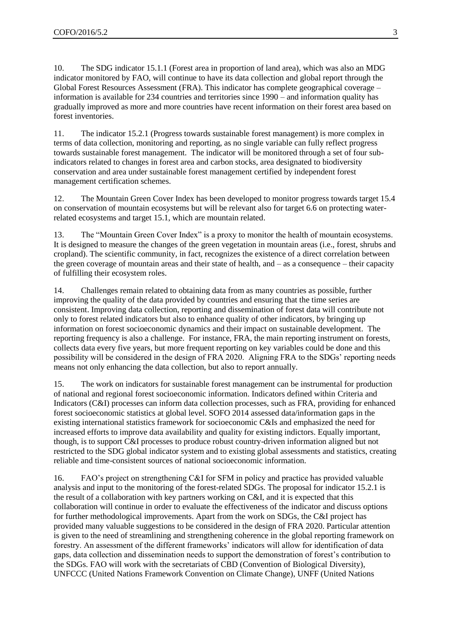10. The SDG indicator 15.1.1 (Forest area in proportion of land area), which was also an MDG indicator monitored by FAO, will continue to have its data collection and global report through the Global Forest Resources Assessment (FRA). This indicator has complete geographical coverage – information is available for 234 countries and territories since 1990 – and information quality has gradually improved as more and more countries have recent information on their forest area based on forest inventories.

11. The indicator 15.2.1 (Progress towards sustainable forest management) is more complex in terms of data collection, monitoring and reporting, as no single variable can fully reflect progress towards sustainable forest management. The indicator will be monitored through a set of four subindicators related to changes in forest area and carbon stocks, area designated to biodiversity conservation and area under sustainable forest management certified by independent forest management certification schemes.

12. The Mountain Green Cover Index has been developed to monitor progress towards target 15.4 on conservation of mountain ecosystems but will be relevant also for target 6.6 on protecting waterrelated ecosystems and target 15.1, which are mountain related.

13. The "Mountain Green Cover Index" is a proxy to monitor the health of mountain ecosystems. It is designed to measure the changes of the green vegetation in mountain areas (i.e., forest, shrubs and cropland). The scientific community, in fact, recognizes the existence of a direct correlation between the green coverage of mountain areas and their state of health, and – as a consequence – their capacity of fulfilling their ecosystem roles.

14. Challenges remain related to obtaining data from as many countries as possible, further improving the quality of the data provided by countries and ensuring that the time series are consistent. Improving data collection, reporting and dissemination of forest data will contribute not only to forest related indicators but also to enhance quality of other indicators, by bringing up information on forest socioeconomic dynamics and their impact on sustainable development. The reporting frequency is also a challenge. For instance, FRA, the main reporting instrument on forests, collects data every five years, but more frequent reporting on key variables could be done and this possibility will be considered in the design of FRA 2020. Aligning FRA to the SDGs' reporting needs means not only enhancing the data collection, but also to report annually.

15. The work on indicators for sustainable forest management can be instrumental for production of national and regional forest socioeconomic information. Indicators defined within Criteria and Indicators (C&I) processes can inform data collection processes, such as FRA, providing for enhanced forest socioeconomic statistics at global level. SOFO 2014 assessed data/information gaps in the existing international statistics framework for socioeconomic C&Is and emphasized the need for increased efforts to improve data availability and quality for existing indictors. Equally important, though, is to support C&I processes to produce robust country-driven information aligned but not restricted to the SDG global indicator system and to existing global assessments and statistics, creating reliable and time-consistent sources of national socioeconomic information.

16. FAO's project on strengthening C&I for SFM in policy and practice has provided valuable analysis and input to the monitoring of the forest-related SDGs. The proposal for indicator 15.2.1 is the result of a collaboration with key partners working on C&I, and it is expected that this collaboration will continue in order to evaluate the effectiveness of the indicator and discuss options for further methodological improvements. Apart from the work on SDGs, the C&I project has provided many valuable suggestions to be considered in the design of FRA 2020. Particular attention is given to the need of streamlining and strengthening coherence in the global reporting framework on forestry. An assessment of the different frameworks' indicators will allow for identification of data gaps, data collection and dissemination needs to support the demonstration of forest's contribution to the SDGs. FAO will work with the secretariats of CBD (Convention of Biological Diversity), UNFCCC (United Nations Framework Convention on Climate Change), UNFF (United Nations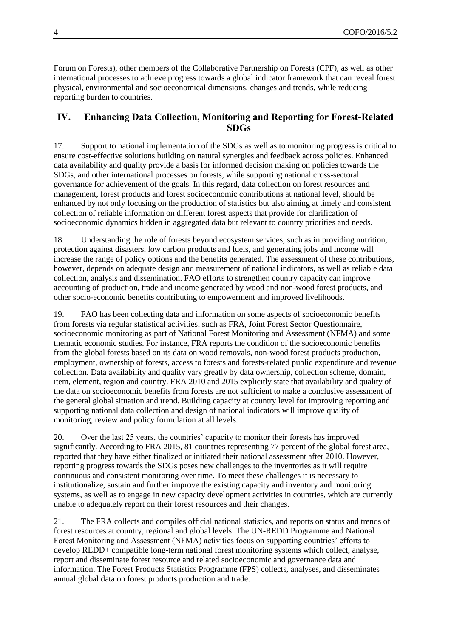Forum on Forests), other members of the Collaborative Partnership on Forests (CPF), as well as other international processes to achieve progress towards a global indicator framework that can reveal forest physical, environmental and socioeconomical dimensions, changes and trends, while reducing reporting burden to countries.

#### **IV. Enhancing Data Collection, Monitoring and Reporting for Forest-Related SDGs**

17. Support to national implementation of the SDGs as well as to monitoring progress is critical to ensure cost-effective solutions building on natural synergies and feedback across policies. Enhanced data availability and quality provide a basis for informed decision making on policies towards the SDGs, and other international processes on forests, while supporting national cross-sectoral governance for achievement of the goals. In this regard, data collection on forest resources and management, forest products and forest socioeconomic contributions at national level, should be enhanced by not only focusing on the production of statistics but also aiming at timely and consistent collection of reliable information on different forest aspects that provide for clarification of socioeconomic dynamics hidden in aggregated data but relevant to country priorities and needs.

18. Understanding the role of forests beyond ecosystem services, such as in providing nutrition, protection against disasters, low carbon products and fuels, and generating jobs and income will increase the range of policy options and the benefits generated. The assessment of these contributions, however, depends on adequate design and measurement of national indicators, as well as reliable data collection, analysis and dissemination. FAO efforts to strengthen country capacity can improve accounting of production, trade and income generated by wood and non-wood forest products, and other socio-economic benefits contributing to empowerment and improved livelihoods.

19. FAO has been collecting data and information on some aspects of socioeconomic benefits from forests via regular statistical activities, such as FRA, Joint Forest Sector Questionnaire, socioeconomic monitoring as part of National Forest Monitoring and Assessment (NFMA) and some thematic economic studies. For instance, FRA reports the condition of the socioeconomic benefits from the global forests based on its data on wood removals, non-wood forest products production, employment, ownership of forests, access to forests and forests-related public expenditure and revenue collection. Data availability and quality vary greatly by data ownership, collection scheme, domain, item, element, region and country. FRA 2010 and 2015 explicitly state that availability and quality of the data on socioeconomic benefits from forests are not sufficient to make a conclusive assessment of the general global situation and trend. Building capacity at country level for improving reporting and supporting national data collection and design of national indicators will improve quality of monitoring, review and policy formulation at all levels.

20. Over the last 25 years, the countries' capacity to monitor their forests has improved significantly. According to FRA 2015, 81 countries representing 77 percent of the global forest area, reported that they have either finalized or initiated their national assessment after 2010. However, reporting progress towards the SDGs poses new challenges to the inventories as it will require continuous and consistent monitoring over time. To meet these challenges it is necessary to institutionalize, sustain and further improve the existing capacity and inventory and monitoring systems, as well as to engage in new capacity development activities in countries, which are currently unable to adequately report on their forest resources and their changes.

21. The FRA collects and compiles official national statistics, and reports on status and trends of forest resources at country, regional and global levels. The UN-REDD Programme and National Forest Monitoring and Assessment (NFMA) activities focus on supporting countries' efforts to develop REDD+ compatible long-term national forest monitoring systems which collect, analyse, report and disseminate forest resource and related socioeconomic and governance data and information. The Forest Products Statistics Programme (FPS) collects, analyses, and disseminates annual global data on forest products production and trade.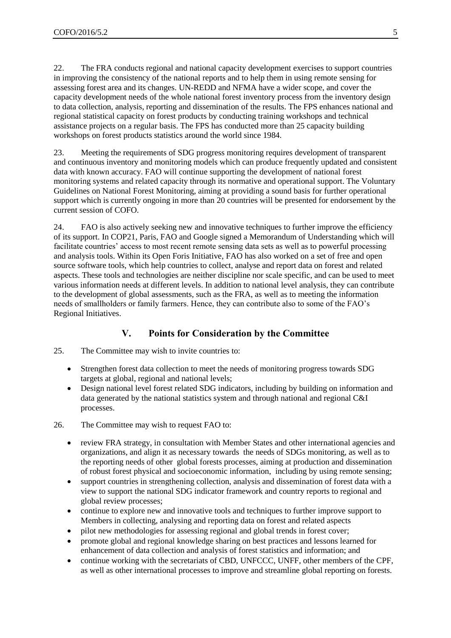22. The FRA conducts regional and national capacity development exercises to support countries in improving the consistency of the national reports and to help them in using remote sensing for assessing forest area and its changes. UN-REDD and NFMA have a wider scope, and cover the capacity development needs of the whole national forest inventory process from the inventory design to data collection, analysis, reporting and dissemination of the results. The FPS enhances national and regional statistical capacity on forest products by conducting training workshops and technical assistance projects on a regular basis. The FPS has conducted more than 25 capacity building workshops on forest products statistics around the world since 1984.

23. Meeting the requirements of SDG progress monitoring requires development of transparent and continuous inventory and monitoring models which can produce frequently updated and consistent data with known accuracy. FAO will continue supporting the development of national forest monitoring systems and related capacity through its normative and operational support. The Voluntary Guidelines on National Forest Monitoring, aiming at providing a sound basis for further operational support which is currently ongoing in more than 20 countries will be presented for endorsement by the current session of COFO.

24. FAO is also actively seeking new and innovative techniques to further improve the efficiency of its support. In COP21, Paris, FAO and Google signed a Memorandum of Understanding which will facilitate countries' access to most recent remote sensing data sets as well as to powerful processing and analysis tools. Within its Open Foris Initiative, FAO has also worked on a set of free and open source software tools, which help countries to collect, analyse and report data on forest and related aspects. These tools and technologies are neither discipline nor scale specific, and can be used to meet various information needs at different levels. In addition to national level analysis, they can contribute to the development of global assessments, such as the FRA, as well as to meeting the information needs of smallholders or family farmers. Hence, they can contribute also to some of the FAO's Regional Initiatives.

### **V. Points for Consideration by the Committee**

- 25. The Committee may wish to invite countries to:
	- Strengthen forest data collection to meet the needs of monitoring progress towards SDG targets at global, regional and national levels;
	- Design national level forest related SDG indicators, including by building on information and data generated by the national statistics system and through national and regional C&I processes.

26. The Committee may wish to request FAO to:

- review FRA strategy, in consultation with Member States and other international agencies and organizations, and align it as necessary towards the needs of SDGs monitoring, as well as to the reporting needs of other global forests processes, aiming at production and dissemination of robust forest physical and socioeconomic information, including by using remote sensing;
- support countries in strengthening collection, analysis and dissemination of forest data with a view to support the national SDG indicator framework and country reports to regional and global review processes;
- continue to explore new and innovative tools and techniques to further improve support to Members in collecting, analysing and reporting data on forest and related aspects
- pilot new methodologies for assessing regional and global trends in forest cover;
- promote global and regional knowledge sharing on best practices and lessons learned for enhancement of data collection and analysis of forest statistics and information; and
- continue working with the secretariats of CBD, UNFCCC, UNFF, other members of the CPF, as well as other international processes to improve and streamline global reporting on forests.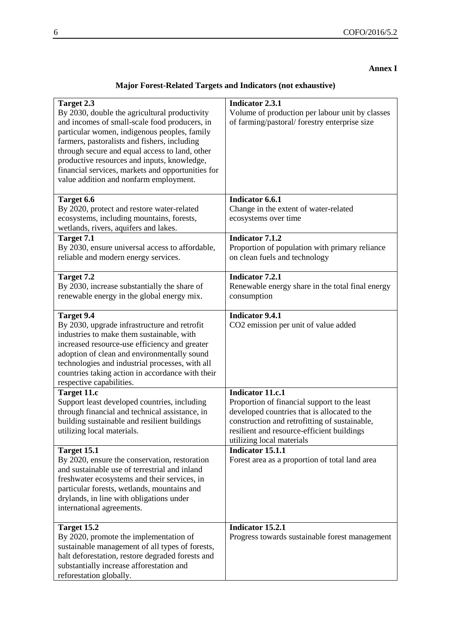#### **Annex I**

## **Major Forest-Related Targets and Indicators (not exhaustive)**

| Target 2.3<br>By 2030, double the agricultural productivity<br>and incomes of small-scale food producers, in<br>particular women, indigenous peoples, family<br>farmers, pastoralists and fishers, including<br>through secure and equal access to land, other<br>productive resources and inputs, knowledge,<br>financial services, markets and opportunities for<br>value addition and nonfarm employment. | <b>Indicator 2.3.1</b><br>Volume of production per labour unit by classes<br>of farming/pastoral/forestry enterprise size                                                                                                                           |
|--------------------------------------------------------------------------------------------------------------------------------------------------------------------------------------------------------------------------------------------------------------------------------------------------------------------------------------------------------------------------------------------------------------|-----------------------------------------------------------------------------------------------------------------------------------------------------------------------------------------------------------------------------------------------------|
| Target 6.6<br>By 2020, protect and restore water-related<br>ecosystems, including mountains, forests,<br>wetlands, rivers, aquifers and lakes.                                                                                                                                                                                                                                                               | Indicator 6.6.1<br>Change in the extent of water-related<br>ecosystems over time                                                                                                                                                                    |
| Target 7.1<br>By 2030, ensure universal access to affordable,<br>reliable and modern energy services.                                                                                                                                                                                                                                                                                                        | <b>Indicator 7.1.2</b><br>Proportion of population with primary reliance<br>on clean fuels and technology                                                                                                                                           |
| Target 7.2<br>By 2030, increase substantially the share of<br>renewable energy in the global energy mix.                                                                                                                                                                                                                                                                                                     | <b>Indicator 7.2.1</b><br>Renewable energy share in the total final energy<br>consumption                                                                                                                                                           |
| <b>Target 9.4</b><br>By 2030, upgrade infrastructure and retrofit<br>industries to make them sustainable, with<br>increased resource-use efficiency and greater<br>adoption of clean and environmentally sound<br>technologies and industrial processes, with all<br>countries taking action in accordance with their<br>respective capabilities.                                                            | <b>Indicator 9.4.1</b><br>CO2 emission per unit of value added                                                                                                                                                                                      |
| Target 11.c<br>Support least developed countries, including<br>through financial and technical assistance, in<br>building sustainable and resilient buildings<br>utilizing local materials.                                                                                                                                                                                                                  | <b>Indicator 11.c.1</b><br>Proportion of financial support to the least<br>developed countries that is allocated to the<br>construction and retrofitting of sustainable,<br>resilient and resource-efficient buildings<br>utilizing local materials |
| Target 15.1<br>By 2020, ensure the conservation, restoration<br>and sustainable use of terrestrial and inland<br>freshwater ecosystems and their services, in<br>particular forests, wetlands, mountains and<br>drylands, in line with obligations under<br>international agreements.                                                                                                                        | Indicator 15.1.1<br>Forest area as a proportion of total land area                                                                                                                                                                                  |
| Target 15.2<br>By 2020, promote the implementation of<br>sustainable management of all types of forests,<br>halt deforestation, restore degraded forests and<br>substantially increase afforestation and<br>reforestation globally.                                                                                                                                                                          | Indicator 15.2.1<br>Progress towards sustainable forest management                                                                                                                                                                                  |